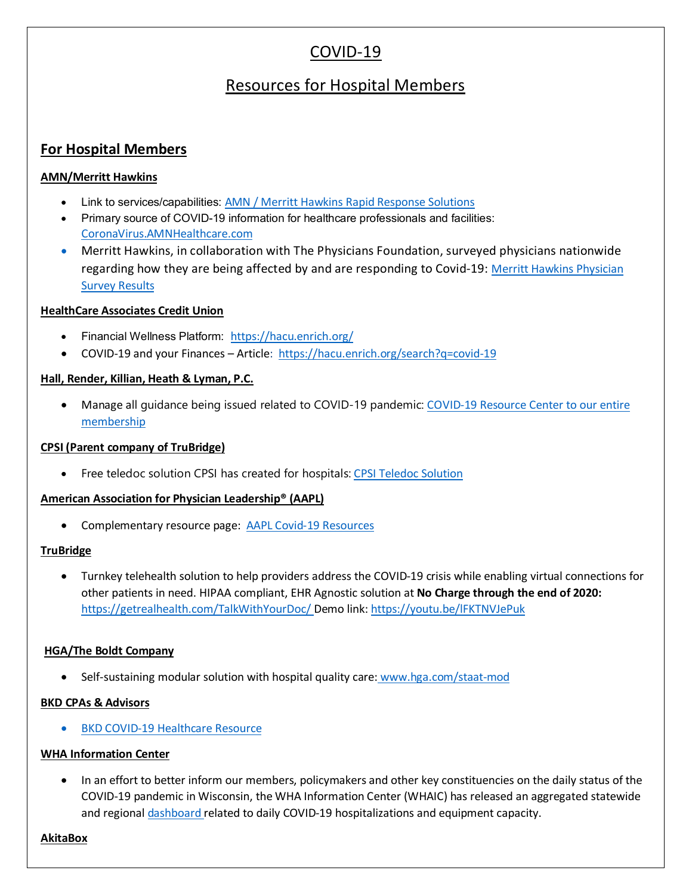# COVID-19

# Resources for Hospital Members

# **For Hospital Members**

## **AMN/Merritt Hawkins**

- Link to services/capabilities: [AMN / Merritt Hawkins Rapid Response Solutions](https://www.merritthawkins.com/uploadedFiles/AMN_Rapid_Response_Solutions.pdf)
- Primary source of COVID-19 information for healthcare professionals and facilities: [CoronaVirus.AMNHealthcare.com](https://www.coronavirus.amnhealthcare.com/)
- Merritt Hawkins, in collaboration with The Physicians Foundation, surveyed physicians nationwide regarding how they are being affected by and are responding to Covid-19: [Merritt Hawkins Physician](https://www.merritthawkins.com/uploadedFiles/Corona_Physician_Survey_Merritt_Hawkins_Report.pdf)  **[Survey Results](https://www.merritthawkins.com/uploadedFiles/Corona_Physician_Survey_Merritt_Hawkins_Report.pdf)**

## **HealthCare Associates Credit Union**

- Financial Wellness Platform: <https://hacu.enrich.org/>
- COVID-19 and your Finances Article:<https://hacu.enrich.org/search?q=covid-19>

## **Hall, Render, Killian, Heath & Lyman, P.C.**

• Manage all guidance being issued related to COVID-19 pandemic: [COVID-19 Resource Center](https://www.hallrender.com/coronavirus/?lk) to our entire membership

#### **CPSI (Parent company of TruBridge)**

• Free teledoc solution CPSI has created for hospitals: [CPSI Teledoc Solution](https://www.cpsi.com/resources/news/cpsi-launches-turnkey-telehealth-solution-to-help-providers-address-the-covid-19-crisis-while-enabling-virtual-connections-for-other-patients-in-need/)

#### **American Association for Physician Leadership® (AAPL)**

• Complementary resource page: [AAPL Covid-19 Resources](https://www.physicianleaders.org/resources/leadership-in-the-midst-of-crisis)

#### **TruBridge**

• Turnkey telehealth solution to help providers address the COVID-19 crisis while enabling virtual connections for other patients in need. HIPAA compliant, EHR Agnostic solution at **No Charge through the end of 2020:** https://getrealhealth.com/TalkWithYourDoc/ Demo link: [https://youtu.be/lFKTNVJePuk](https://urldefense.proofpoint.com/v2/url?u=https-3A__youtu.be_lFKTNVJePuk&d=DwMFaQ&c=euGZstcaTDllvimEN8b7jXrwqOf-v5A_CdpgnVfiiMM&r=EUXaqDSb5OZEw46rkHlCVAbuPy2-u8Yiwdz3x6Csukc&m=Z2_St8kcvn9CW-gjNlqxzVijMu8VmP_qcORkeNVUWxY&s=744vm0gy9PCWJ-nZpzZYRPxEJyeUGnpj-iwJuLC5C5E&e=)

#### **HGA/The Boldt Company**

• Self-sustaining modular solution with hospital quality care: [www.hga.com/staat-mod](http://www.hga.com/staat-mod)

#### **BKD CPAs & Advisors**

• [BKD COVID-19 Healthcare Resource](https://www.bkd.com/resource/2020/03/covid-19-resources-healthcare)

#### **WHA Information Center**

• In an effort to better inform our members, policymakers and other key constituencies on the daily status of the COVID-19 pandemic in Wisconsin, the WHA Information Center (WHAIC) has released an aggregated statewide and regiona[l dashboard](https://urldefense.proofpoint.com/v2/url?u=https-3A__www.wha.org_COVID19Update&d=DwMFAg&c=4mrNADMi6Tvf-kGUfW12lHtG2IOrmU6d6xRlApqgiGQ&r=8-GHHEB4kJgX6G7k7hEf0l_tvMWmrboN0kg3YQC_U6o&m=nR4ER21Vzf9mhdsisEm4z2IEYBDm9tOtNQ0lubXYMt4&s=-NKYKZmxCA15VjdxfnUfW2lSByjBhexQWKwJ__BcucI&e=) related to daily COVID-19 hospitalizations and equipment capacity.

#### **AkitaBox**